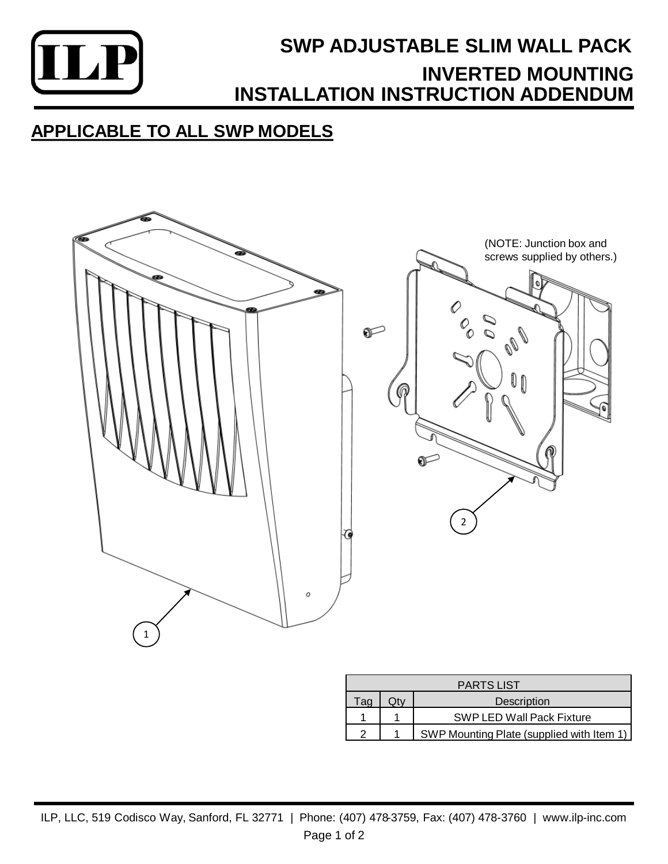

## **SWP ADJUSTABLE SLIM WALL PACK INSTALLATION INSTRUCTION ADDENDUM INVERTED MOUNTING**

### **APPLICABLE TO ALL SWP MODELS**



| <b>PARTS LIST</b> |  |                                           |
|-------------------|--|-------------------------------------------|
| Taq               |  | Description                               |
|                   |  | <b>SWP LED Wall Pack Fixture</b>          |
|                   |  | SWP Mounting Plate (supplied with Item 1) |